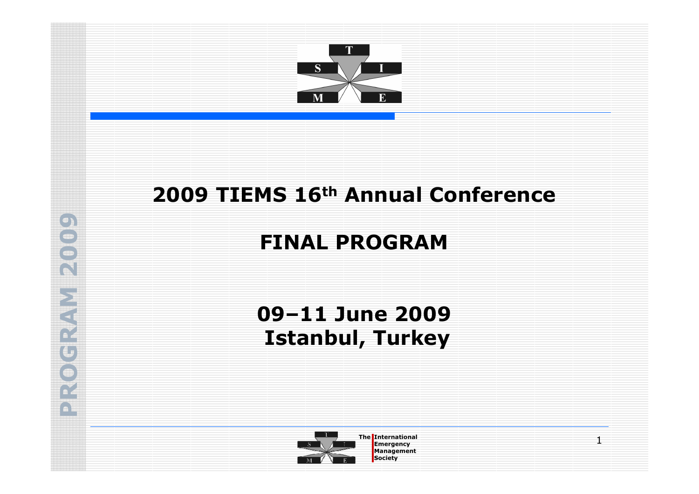

# 2009 TIEMS 16<sup>th</sup> Annual Conference

# FINAL PROGRAM

# 09–11 June 2009Istanbul, Turkey



The International Emergency of the International Emergency of the International Emergency of the International Emergency of the International Emergency of the International Emergency of the International Emergency of the I **Management Society** 

1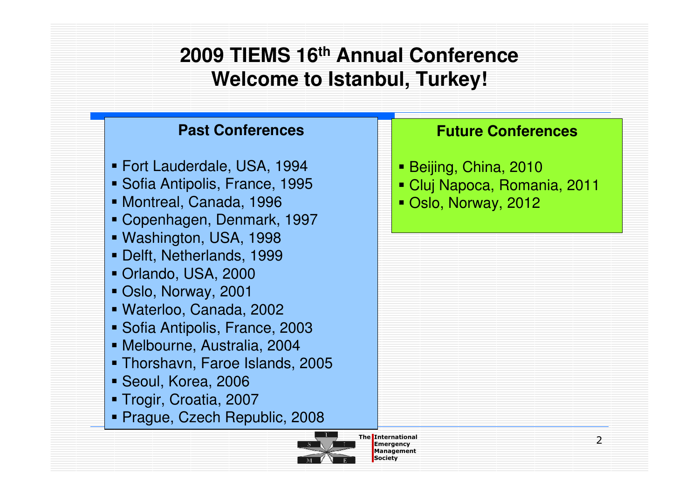### **2009 TIEMS 16th Annual ConferenceWelcome to Istanbul, Turkey!**

### **Past Conferences**

- Fort Lauderdale, USA, 1994
- Sofia Antipolis, France, 1995
- Montreal, Canada, 1996
- Copenhagen, Denmark, 1997
- Washington, USA, 1998
- Delft, Netherlands, 1999
- Orlando, USA, 2000
- Oslo, Norway, 2001
- Waterloo, Canada, 2002
- Sofia Antipolis, France, 2003
- Melbourne, Australia, 2004
- Thorshavn, Faroe Islands, 2005
- Seoul, Korea, 2006
- Trogir, Croatia, 2007
- Prague, Czech Republic, 2008



Management**Society** 

#### **Future Conferences**

- Beijing, China, 2010
- Cluj Napoca, Romania, 2011
- Oslo, Norway, 2012

2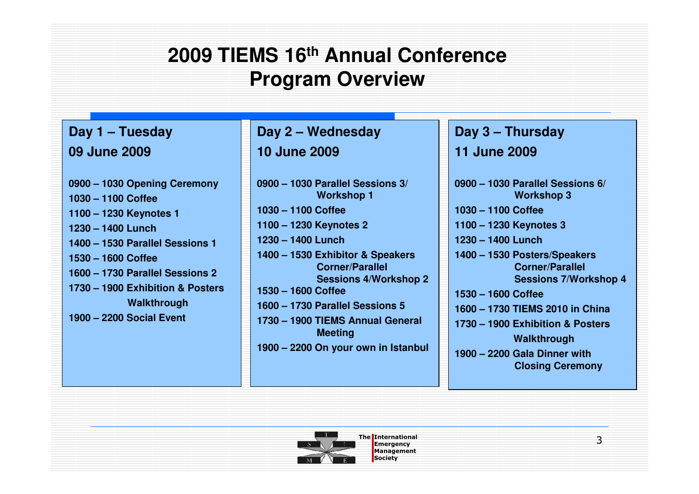## **2009 TIEMS 16th Annual ConferenceProgram Overview**

#### **Day 1 – Tuesday09 June 2009**

**0900 – 1030 Opening Ceremony1030 – 1100 Coffee 1100 – 1230 Keynotes 11230 – 1400 Lunch 1400 – 1530 Parallel Sessions 11530 – 1600 Coffee1600 – 1730 Parallel Sessions 21730 – 1900 Exhibition & PostersWalkthrough1900 – 2200 Social Event**

**Day 2 – Wednesday10 June 2009**

**0900 – 1030 Parallel Sessions 3/ Workshop 11030 – 1100 Coffee1100 – 1230 Keynotes 21230 – 1400 Lunch 1400 – 1530 Exhibitor & Speakers Corner/Parallel Sessions 4/Workshop 2 1530 – 1600 Coffee1600 – 1730 Parallel Sessions 5 1730 – 1900 TIEMS Annual General Meeting1900 – 2200 On your own in Istanbul**

### **Day 3 – Thursday**

#### **11 June 2009**

**0900 – 1030 Parallel Sessions 6/ Workshop 31030 – 1100 Coffee1100 – 1230 Keynotes 31230 – 1400 Lunch 1400 – 1530 Posters/Speakers Corner/Parallel Sessions 7/Workshop 41530 – 1600 Coffee 1600 – 1730 TIEMS 2010 in China1730 – 1900 Exhibition & PostersWalkthrough 1900 – 2200 Gala Dinner with Closing Ceremony**



The International Emergency of the International Emergency of the International Emergency of the International Emergency of the International Emergency of the International Emergency of the International Emergency of the I Management**Society**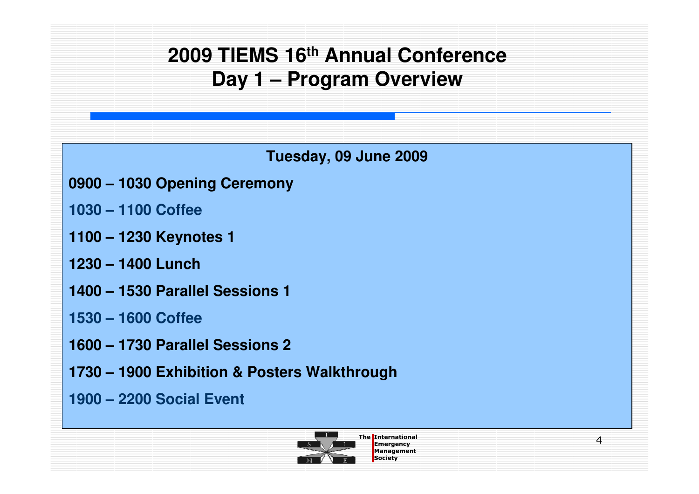# **2009 TIEMS 16th Annual ConferenceDay 1 – Program Overview**

**Tuesday, 09 June 2009**

- **0900 – 1030 Opening Ceremony**
- **1030 – 1100 Coffee**
- **1100 – 1230 Keynotes 1**
- **1230 – 1400 Lunch**
- **1400 – 1530 Parallel Sessions 1**
- **1530 – 1600 Coffee**
- **1600 – 1730 Parallel Sessions 2**
- **1730 – 1900 Exhibition & Posters Walkthrough**
- **1900 – 2200 Social Event**



4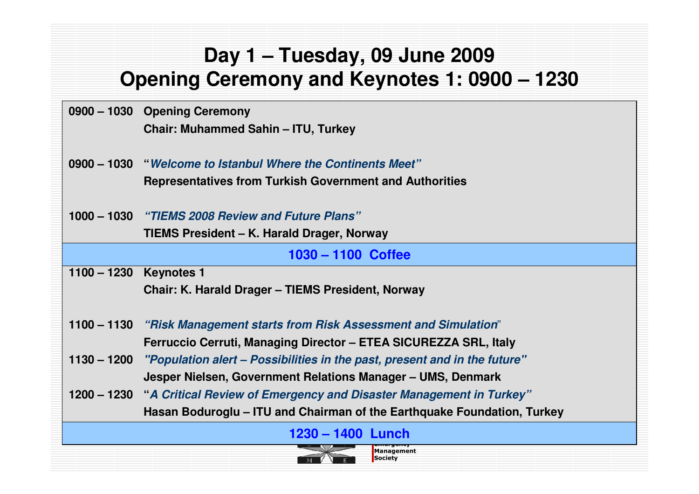## **Day 1 – Tuesday, 09 June 2009Opening Ceremony and Keynotes 1: 0900 – 1230**

|               | 0900 - 1030 Opening Ceremony                                                          |
|---------------|---------------------------------------------------------------------------------------|
|               | Chair: Muhammed Sahin – ITU, Turkey                                                   |
|               |                                                                                       |
|               | 0900 - 1030 "Welcome to Istanbul Where the Continents Meet"                           |
|               | <b>Representatives from Turkish Government and Authorities</b>                        |
|               |                                                                                       |
|               | 1000 – 1030 "TIEMS 2008 Review and Future Plans"                                      |
|               | TIEMS President - K. Harald Drager, Norway                                            |
|               | $1030 - 1100$ Coffee                                                                  |
| $1100 - 1230$ | <b>Keynotes 1</b>                                                                     |
|               | Chair: K. Harald Drager - TIEMS President, Norway                                     |
|               |                                                                                       |
| $1100 - 1130$ | "Risk Management starts from Risk Assessment and Simulation"                          |
|               | Ferruccio Cerruti, Managing Director - ETEA SICUREZZA SRL, Italy                      |
|               | 1130 – 1200 "Population alert – Possibilities in the past, present and in the future" |
|               | Jesper Nielsen, Government Relations Manager – UMS, Denmark                           |
|               | 1200 – 1230 "A Critical Review of Emergency and Disaster Management in Turkey"        |
|               | Hasan Boduroglu - ITU and Chairman of the Earthquake Foundation, Turkey               |
|               | 1230 – 1400 Lunch                                                                     |
|               | Management<br>Society                                                                 |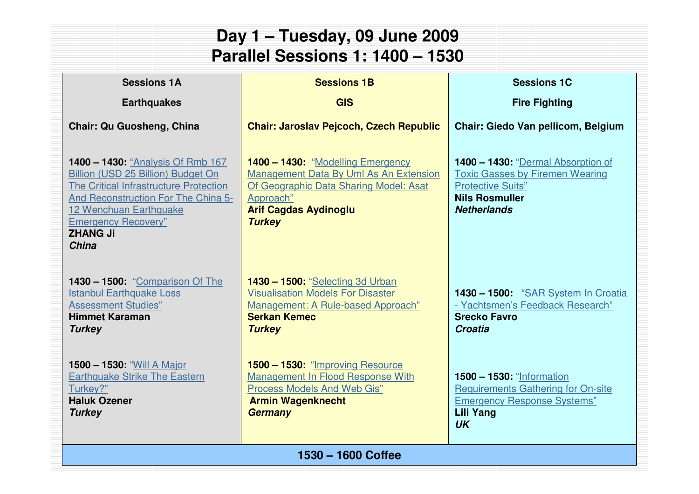| Day 1 - Tuesday, 09 June 2009<br><b>Parallel Sessions 1: 1400 - 1530</b>                                                                                                                                                                                   |                                                                                                                                                                                     |                                                                                                                                                         |  |  |
|------------------------------------------------------------------------------------------------------------------------------------------------------------------------------------------------------------------------------------------------------------|-------------------------------------------------------------------------------------------------------------------------------------------------------------------------------------|---------------------------------------------------------------------------------------------------------------------------------------------------------|--|--|
| <b>Sessions 1A</b><br><b>Sessions 1B</b><br><b>Sessions 1C</b>                                                                                                                                                                                             |                                                                                                                                                                                     |                                                                                                                                                         |  |  |
| <b>Earthquakes</b>                                                                                                                                                                                                                                         | <b>GIS</b>                                                                                                                                                                          | <b>Fire Fighting</b>                                                                                                                                    |  |  |
| <b>Chair: Qu Guosheng, China</b>                                                                                                                                                                                                                           | <b>Chair: Jaroslav Pejcoch, Czech Republic</b>                                                                                                                                      | <b>Chair: Giedo Van pellicom, Belgium</b>                                                                                                               |  |  |
| <b>1400 - 1430: "Analysis Of Rmb 167</b><br>Billion (USD 25 Billion) Budget On<br>The Critical Infrastructure Protection<br>And Reconstruction For The China 5-<br>12 Wenchuan Earthquake<br><b>Emergency Recovery"</b><br><b>ZHANG Ji</b><br><b>China</b> | 1400 - 1430: "Modelling Emergency<br>Management Data By Uml As An Extension<br>Of Geographic Data Sharing Model: Asat<br>Approach"<br><b>Arif Cagdas Aydinoglu</b><br><b>Turkey</b> | 1400 - 1430: "Dermal Absorption of<br><b>Toxic Gasses by Firemen Wearing</b><br><b>Protective Suits"</b><br><b>Nils Rosmuller</b><br><b>Netherlands</b> |  |  |
| <b>1430 - 1500: "Comparison Of The</b><br><b>Istanbul Earthquake Loss</b><br><b>Assessment Studies"</b><br><b>Himmet Karaman</b><br><b>Turkey</b>                                                                                                          | <b>1430 - 1500: "Selecting 3d Urban</b><br><b>Visualisation Models For Disaster</b><br>Management: A Rule-based Approach"<br><b>Serkan Kemec</b><br><b>Turkey</b>                   | 1430 - 1500: "SAR System In Croatia<br>- Yachtsmen's Feedback Research"<br><b>Srecko Favro</b><br>Croatia                                               |  |  |
| 1500 - 1530: "Will A Major<br><b>Earthquake Strike The Eastern</b><br>Turkey?"<br><b>Haluk Ozener</b><br><b>Turkey</b>                                                                                                                                     | 1500 - 1530: "Improving Resource<br>Management In Flood Response With<br><b>Process Models And Web Gis"</b><br><b>Armin Wagenknecht</b><br><b>Germany</b>                           | <b>1500 - 1530: "Information</b><br><b>Requirements Gathering for On-site</b><br><b>Emergency Response Systems"</b><br><b>Lili Yang</b><br><b>UK</b>    |  |  |
| 1530 - 1600 Coffee                                                                                                                                                                                                                                         |                                                                                                                                                                                     |                                                                                                                                                         |  |  |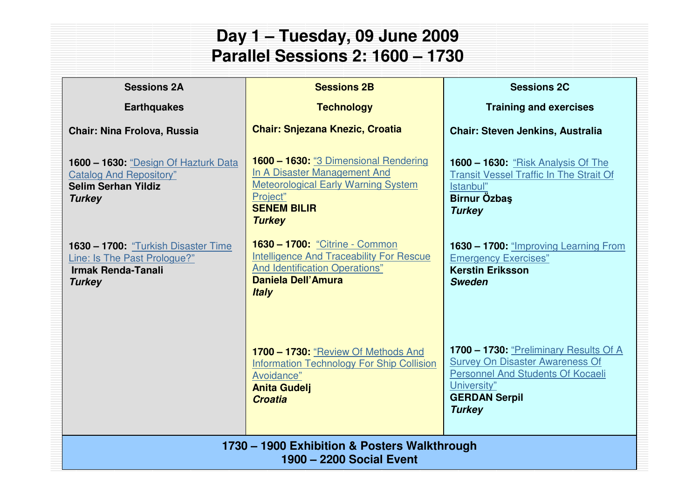### **Day 1 – Tuesday, 09 June 2009Parallel Sessions 2: 1600 – 1730**

| <b>Sessions 2A</b>                                                                                                    | <b>Sessions 2B</b>                                                                                                                                                     | <b>Sessions 2C</b>                                                                                                                                                                   |
|-----------------------------------------------------------------------------------------------------------------------|------------------------------------------------------------------------------------------------------------------------------------------------------------------------|--------------------------------------------------------------------------------------------------------------------------------------------------------------------------------------|
| <b>Earthquakes</b>                                                                                                    | <b>Technology</b>                                                                                                                                                      | <b>Training and exercises</b>                                                                                                                                                        |
| <b>Chair: Nina Frolova, Russia</b>                                                                                    | <b>Chair: Snjezana Knezic, Croatia</b>                                                                                                                                 | <b>Chair: Steven Jenkins, Australia</b>                                                                                                                                              |
| 1600 - 1630: "Design Of Hazturk Data<br><b>Catalog And Repository"</b><br><b>Selim Serhan Yildiz</b><br><b>Turkey</b> | 1600 - 1630: "3 Dimensional Rendering<br>In A Disaster Management And<br><b>Meteorological Early Warning System</b><br>Project"<br><b>SENEM BILIR</b><br><b>Turkey</b> | <b>1600 – 1630: "Risk Analysis Of The</b><br><b>Transit Vessel Traffic In The Strait Of</b><br>Istanbul"<br>Birnur Özbaş<br><b>Turkey</b>                                            |
| 1630 - 1700: "Turkish Disaster Time<br>Line: Is The Past Prologue?"<br><b>Irmak Renda-Tanali</b><br><b>Turkey</b>     | 1630 - 1700: "Citrine - Common<br><b>Intelligence And Traceability For Rescue</b><br><b>And Identification Operations"</b><br>Daniela Dell'Amura<br><b>Italy</b>       | 1630 - 1700: "Improving Learning From<br><b>Emergency Exercises"</b><br><b>Kerstin Eriksson</b><br><b>Sweden</b>                                                                     |
|                                                                                                                       | 1700 - 1730: "Review Of Methods And<br><b>Information Technology For Ship Collision</b><br>Avoidance"<br><b>Anita Gudelj</b><br><b>Croatia</b>                         | 1700 - 1730: "Preliminary Results Of A<br><b>Survey On Disaster Awareness Of</b><br><b>Personnel And Students Of Kocaeli</b><br>University"<br><b>GERDAN Serpil</b><br><b>Turkey</b> |
| 1730 – 1900 Exhibition & Posters Walkthrough<br>1900 - 2200 Social Event                                              |                                                                                                                                                                        |                                                                                                                                                                                      |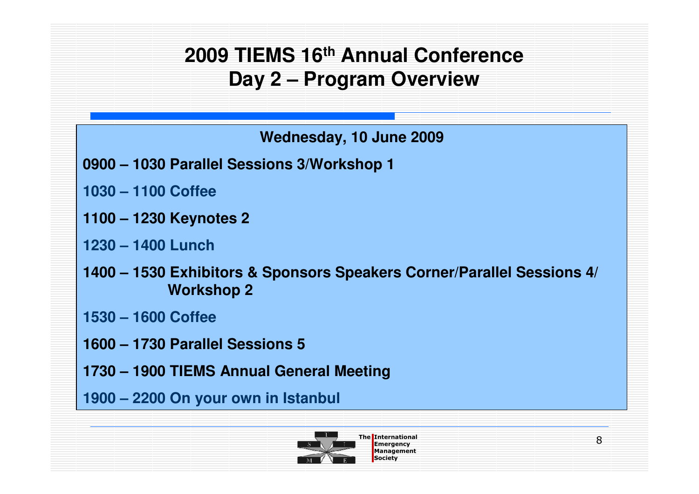## **2009 TIEMS 16th Annual ConferenceDay 2 – Program Overview**

**Wednesday, 10 June 2009**

- **0900 – 1030 Parallel Sessions 3/Workshop 1**
- **1030 – 1100 Coffee**
- **1100 – 1230 Keynotes 2**
- **1230 – 1400 Lunch**
- **1400 – 1530 Exhibitors & Sponsors Speakers Corner/Parallel Sessions 4/ Workshop 2**
- **1530 – 1600 Coffee**
- **1600 – 1730 Parallel Sessions 5**
- **1730 – 1900 TIEMS Annual General Meeting**
- **1900 – 2200 On your own in Istanbul**

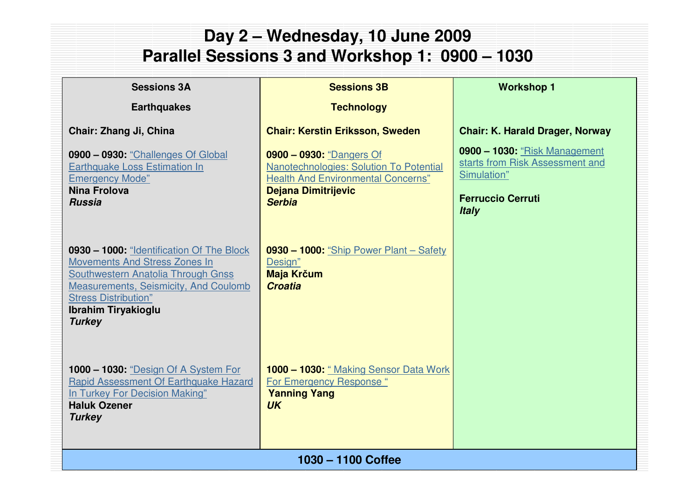#### The International Emergency ManagementSociety**1030 – 1100 CoffeeDay 2 – Wednesday, 10 June 2009 Parallel Sessions 3 and Workshop 1: 0900 – 1030Sessions 3BTechnologyChair: Kerstin Eriksson, Sweden0900 – 0930:** "Dangers Of Nanotechnologies: Solution To Potential Health And Environmental Concerns"**Dejana DimitrijevicSerbia0930 – 1000:** "Ship Power Plant – Safety Design" **Maja Kr**č**umCroatia1000 – 1030:** " Making Sensor Data Work For Emergency Response "**Yanning Yang UKSessions 3AEarthquakesChair: Zhang Ji, China0900 – 0930:** "Challenges Of Global Earthquake Loss Estimation In Emergency Mode"**Nina FrolovaRussia0930 – 1000:** "Identification Of The Block Movements And Stress Zones In Southwestern Anatolia Through Gnss Measurements, Seismicity, And Coulomb **Stress Distribution" Ibrahim TiryakiogluTurkey1000 – 1030:** "Design Of A System For Rapid Assessment Of Earthquake Hazard In Turkey For Decision Making"**Haluk OzenerTurkeyWorkshop 1Chair: K. Harald Drager, Norway0900 – 1030:** "Risk Management starts from Risk Assessment and Simulation"**Ferruccio CerrutiItaly**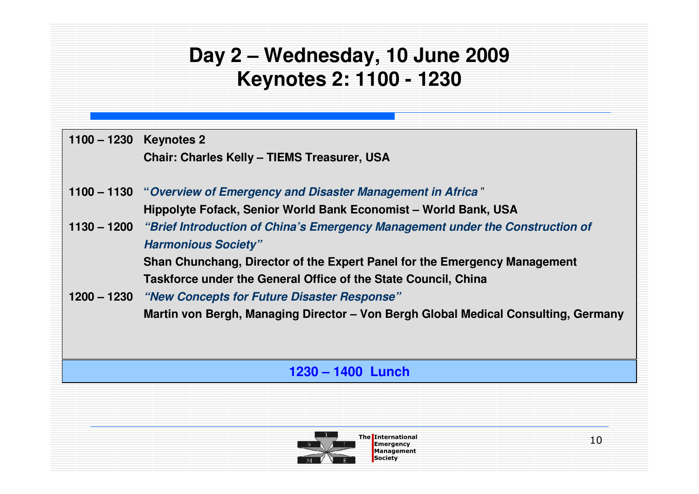## **Day 2 – Wednesday, 10 June 2009Keynotes 2: 1100 - 1230**

| 1100 - 1230 Keynotes 2 |                                                                                           |    |
|------------------------|-------------------------------------------------------------------------------------------|----|
|                        | <b>Chair: Charles Kelly - TIEMS Treasurer, USA</b>                                        |    |
|                        |                                                                                           |    |
|                        | 1100 - 1130 "Overview of Emergency and Disaster Management in Africa"                     |    |
|                        | Hippolyte Fofack, Senior World Bank Economist - World Bank, USA                           |    |
|                        | 1130 – 1200 "Brief Introduction of China's Emergency Management under the Construction of |    |
|                        | <b>Harmonious Society"</b>                                                                |    |
|                        | Shan Chunchang, Director of the Expert Panel for the Emergency Management                 |    |
|                        | Taskforce under the General Office of the State Council, China                            |    |
|                        | 1200 – 1230 "New Concepts for Future Disaster Response"                                   |    |
|                        | Martin von Bergh, Managing Director - Von Bergh Global Medical Consulting, Germany        |    |
|                        |                                                                                           |    |
|                        |                                                                                           |    |
|                        | 1230 - 1400 Lunch                                                                         |    |
|                        |                                                                                           |    |
|                        |                                                                                           |    |
|                        | <b>The International</b>                                                                  | 10 |
|                        | <b>Emergency</b>                                                                          |    |

**Management Society**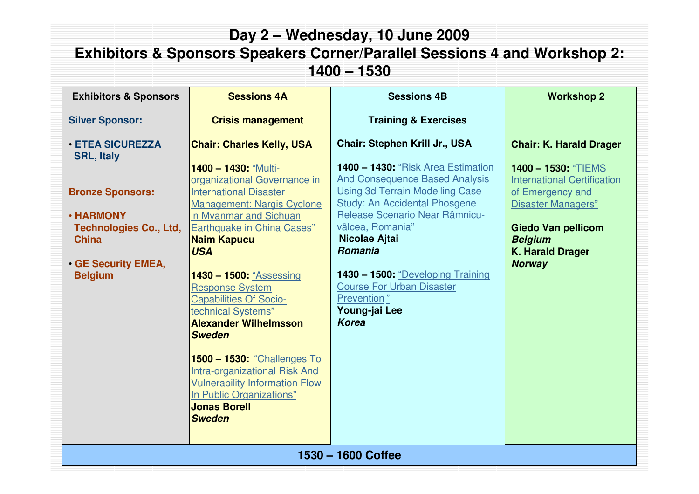| Day 2 – Wednesday, 10 June 2009<br><b>Exhibitors &amp; Sponsors Speakers Corner/Parallel Sessions 4 and Workshop 2:</b><br>1400 - 1530                                                     |                                                                                                                                                                                                                                                                                                                                                                                                        |                                                                                                                                                                                                                                                                                                                                                                                                                  |                                                                                                                                                                                                                                         |
|--------------------------------------------------------------------------------------------------------------------------------------------------------------------------------------------|--------------------------------------------------------------------------------------------------------------------------------------------------------------------------------------------------------------------------------------------------------------------------------------------------------------------------------------------------------------------------------------------------------|------------------------------------------------------------------------------------------------------------------------------------------------------------------------------------------------------------------------------------------------------------------------------------------------------------------------------------------------------------------------------------------------------------------|-----------------------------------------------------------------------------------------------------------------------------------------------------------------------------------------------------------------------------------------|
| <b>Exhibitors &amp; Sponsors</b>                                                                                                                                                           | <b>Sessions 4A</b>                                                                                                                                                                                                                                                                                                                                                                                     | <b>Sessions 4B</b>                                                                                                                                                                                                                                                                                                                                                                                               | <b>Workshop 2</b>                                                                                                                                                                                                                       |
| <b>Silver Sponsor:</b>                                                                                                                                                                     | <b>Crisis management</b>                                                                                                                                                                                                                                                                                                                                                                               | <b>Training &amp; Exercises</b>                                                                                                                                                                                                                                                                                                                                                                                  |                                                                                                                                                                                                                                         |
| <b>· ETEA SICUREZZA</b><br><b>SRL, Italy</b><br><b>Bronze Sponsors:</b><br><b>· HARMONY</b><br><b>Technologies Co., Ltd,</b><br><b>China</b><br><b>GE Security EMEA,</b><br><b>Belgium</b> | <b>Chair: Charles Kelly, USA</b><br>1400 - 1430: "Multi-<br>organizational Governance in<br><b>International Disaster</b><br><b>Management: Nargis Cyclone</b><br>in Myanmar and Sichuan<br>Earthquake in China Cases"<br><b>Naim Kapucu</b><br><b>USA</b><br>1430 - 1500: "Assessing<br><b>Response System</b><br><b>Capabilities Of Socio-</b><br>technical Systems"<br><b>Alexander Wilhelmsson</b> | <b>Chair: Stephen Krill Jr., USA</b><br>1400 - 1430: "Risk Area Estimation<br><b>And Consequence Based Analysis</b><br><b>Using 3d Terrain Modelling Case</b><br><b>Study: An Accidental Phosgene</b><br>Release Scenario Near Râmnicu-<br>vâlcea, Romania"<br>Nicolae Ajtai<br>Romania<br>1430 - 1500: "Developing Training<br><b>Course For Urban Disaster</b><br>Prevention"<br>Young-jai Lee<br><b>Korea</b> | <b>Chair: K. Harald Drager</b><br>1400 - 1530: "TIEMS<br><b>International Certification</b><br>of Emergency and<br><b>Disaster Managers"</b><br><b>Giedo Van pellicom</b><br><b>Belgium</b><br><b>K. Harald Drager</b><br><b>Norway</b> |
|                                                                                                                                                                                            | <b>Sweden</b><br>1500 - 1530: "Challenges To<br>Intra-organizational Risk And<br><b>Vulnerability Information Flow</b><br>In Public Organizations"<br><b>Jonas Borell</b><br><b>Sweden</b>                                                                                                                                                                                                             |                                                                                                                                                                                                                                                                                                                                                                                                                  |                                                                                                                                                                                                                                         |
| 1530 - 1600 Coffee                                                                                                                                                                         |                                                                                                                                                                                                                                                                                                                                                                                                        |                                                                                                                                                                                                                                                                                                                                                                                                                  |                                                                                                                                                                                                                                         |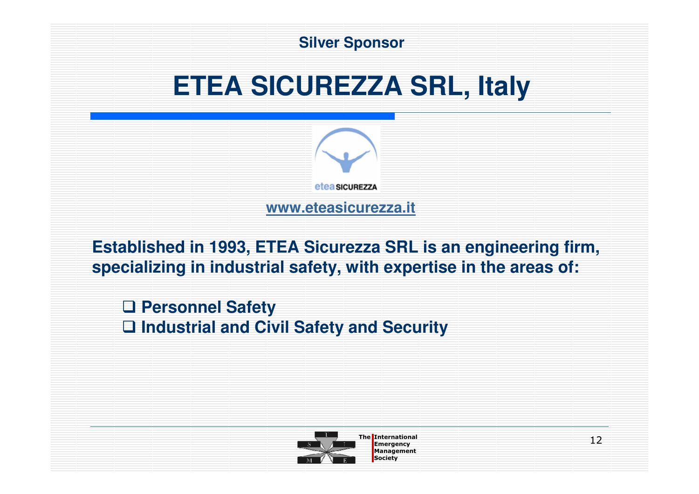

**Established in 1993, ETEA Sicurezza SRL is an engineering firm, specializing in industrial safety, with expertise in the areas of:**

**□ Personnel Safety**<br>□ Industrial and Civ - **Industrial and Civil Safety and Security** 



The International and the International and the International and the International and International and International and International and International and International and International and International and Internat Management**Society**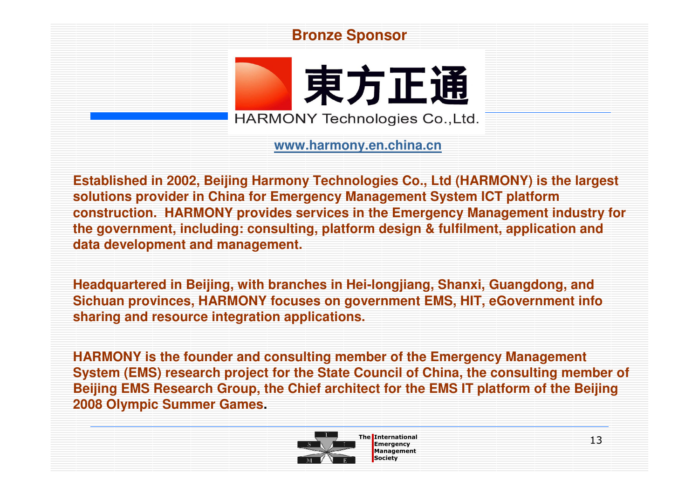#### **Bronze Sponsor**

東方正通 **HARMONY Technologies Co., Ltd.** 

**www.harmony.en.china.cn**

**Established in 2002, Beijing Harmony Technologies Co., Ltd (HARMONY) is the largest solutions provider in China for Emergency Management System ICT platform construction. HARMONY provides services in the Emergency Management industry for the government, including: consulting, platform design & fulfilment, application and data development and management.**

**Headquartered in Beijing, with branches in Hei-longjiang, Shanxi, Guangdong, and Sichuan provinces, HARMONY focuses on government EMS, HIT, eGovernment info sharing and resource integration applications.**

**HARMONY is the founder and consulting member of the Emergency Management System (EMS) research project for the State Council of China, the consulting member of Beijing EMS Research Group, the Chief architect for the EMS IT platform of the Beijing 2008 Olympic Summer Games.**

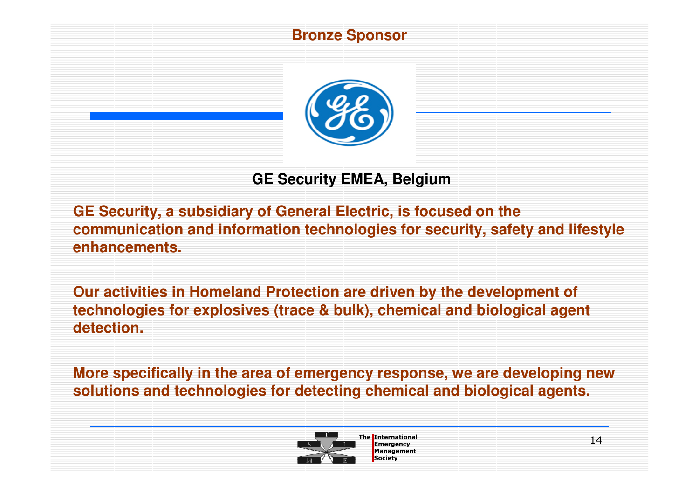#### **Bronze Sponsor**



### **GE Security EMEA, Belgium**

**GE Security, a subsidiary of General Electric, is focused on the communication and information technologies for security, safety and lifestyle enhancements.**

**Our activities in Homeland Protection are driven by the development of technologies for explosives (trace & bulk), chemical and biological agent detection.**

**More specifically in the area of emergency response, we are developing new solutions and technologies for detecting chemical and biological agents.**



The International and the International and the International and the International and International and International and International and International and International and International and International and Internat Management**Society**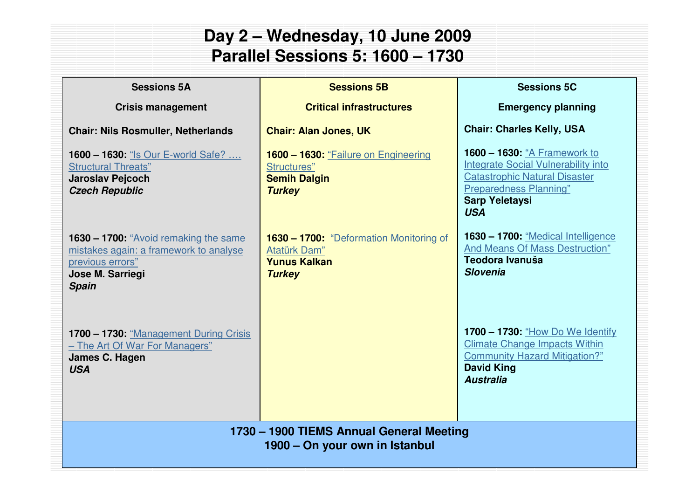### **Day 2 – Wednesday, 10 June 2009Parallel Sessions 5: 1600 – 1730**

| <b>Sessions 5A</b>                                                                                                                      | <b>Sessions 5B</b>                                                                              | <b>Sessions 5C</b>                                                                                                                                                                                |
|-----------------------------------------------------------------------------------------------------------------------------------------|-------------------------------------------------------------------------------------------------|---------------------------------------------------------------------------------------------------------------------------------------------------------------------------------------------------|
| <b>Crisis management</b>                                                                                                                | <b>Critical infrastructures</b>                                                                 | <b>Emergency planning</b>                                                                                                                                                                         |
| <b>Chair: Nils Rosmuller, Netherlands</b>                                                                                               | <b>Chair: Alan Jones, UK</b>                                                                    | <b>Chair: Charles Kelly, USA</b>                                                                                                                                                                  |
| <b>1600 - 1630: "Is Our E-world Safe? </b><br><b>Structural Threats"</b><br><b>Jaroslav Pejcoch</b><br><b>Czech Republic</b>            | 1600 - 1630: "Failure on Engineering<br>Structures"<br><b>Semih Dalgin</b><br><b>Turkey</b>     | <b>1600 - 1630: "A Framework to</b><br><b>Integrate Social Vulnerability into</b><br><b>Catastrophic Natural Disaster</b><br><b>Preparedness Planning"</b><br><b>Sarp Yeletaysi</b><br><b>USA</b> |
| 1630 – 1700: "Avoid remaking the same<br>mistakes again: a framework to analyse<br>previous errors"<br>Jose M. Sarriegi<br><b>Spain</b> | 1630 - 1700: "Deformation Monitoring of<br>Atatürk Dam"<br><b>Yunus Kalkan</b><br><b>Turkey</b> | 1630 - 1700: "Medical Intelligence<br>And Means Of Mass Destruction"<br>Teodora Ivanuša<br><b>Slovenia</b>                                                                                        |
| 1700 - 1730: "Management During Crisis<br>- The Art Of War For Managers"<br>James C. Hagen<br><b>USA</b>                                |                                                                                                 | 1700 - 1730: "How Do We Identify<br><b>Climate Change Impacts Within</b><br><b>Community Hazard Mitigation?"</b><br><b>David King</b><br><b>Australia</b>                                         |
| 1730 - 1900 TIEMS Annual General Meeting<br>1900 – On your own in Istanbul                                                              |                                                                                                 |                                                                                                                                                                                                   |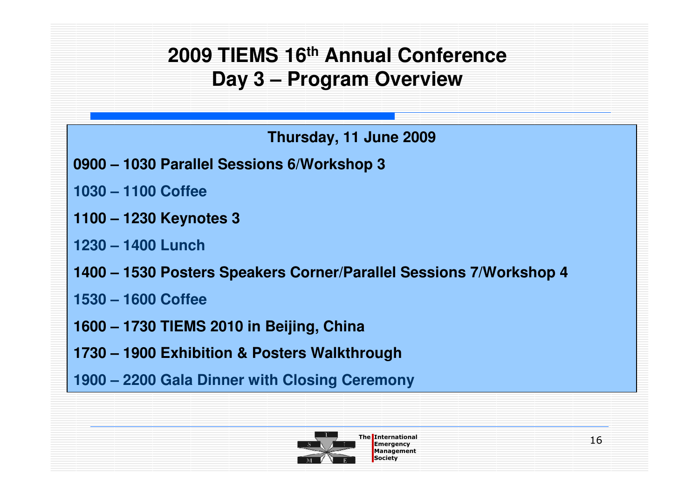## **2009 TIEMS 16th Annual ConferenceDay 3 – Program Overview**

**Thursday, 11 June 2009**

- **0900 – 1030 Parallel Sessions 6/Workshop 3**
- **1030 – 1100 Coffee**
- **1100 – 1230 Keynotes 3**
- **1230 – 1400 Lunch**
- **1400 – 1530 Posters Speakers Corner/Parallel Sessions 7/Workshop 4**
- **1530 – 1600 Coffee**
- **1600 – 1730 TIEMS 2010 in Beijing, China**
- **1730 – 1900 Exhibition & Posters Walkthrough**
- **1900 – 2200 Gala Dinner with Closing Ceremony**

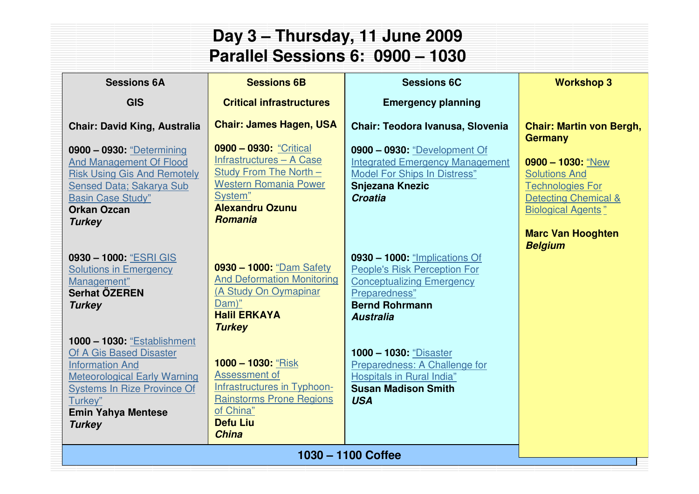| Day 3 - Thursday, 11 June 2009<br>Parallel Sessions 6: 0900 - 1030                                                                                                                                                            |                                                                                                                                                                                     |                                                                                                                                                                                        |                                                                                                                                                                                               |  |  |
|-------------------------------------------------------------------------------------------------------------------------------------------------------------------------------------------------------------------------------|-------------------------------------------------------------------------------------------------------------------------------------------------------------------------------------|----------------------------------------------------------------------------------------------------------------------------------------------------------------------------------------|-----------------------------------------------------------------------------------------------------------------------------------------------------------------------------------------------|--|--|
| <b>Sessions 6A</b>                                                                                                                                                                                                            | <b>Sessions 6B</b><br><b>Sessions 6C</b><br><b>Workshop 3</b>                                                                                                                       |                                                                                                                                                                                        |                                                                                                                                                                                               |  |  |
| <b>GIS</b>                                                                                                                                                                                                                    | <b>Critical infrastructures</b>                                                                                                                                                     | <b>Emergency planning</b>                                                                                                                                                              |                                                                                                                                                                                               |  |  |
| <b>Chair: David King, Australia</b><br>0900 - 0930: "Determining<br><b>And Management Of Flood</b><br><b>Risk Using Gis And Remotely</b><br>Sensed Data; Sakarya Sub<br><b>Basin Case Study"</b><br><b>Orkan Ozcan</b>        | <b>Chair: James Hagen, USA</b><br>0900 - 0930: "Critical<br>Infrastructures - A Case<br>Study From The North -<br><b>Western Romania Power</b><br>System"<br><b>Alexandru Ozunu</b> | Chair: Teodora Ivanusa, Slovenia<br>0900 - 0930: "Development Of<br><b>Integrated Emergency Management</b><br><b>Model For Ships In Distress"</b><br><b>Snjezana Knezic</b><br>Croatia | <b>Chair: Martin von Bergh,</b><br><b>Germany</b><br>$0900 - 1030$ : "New<br><b>Solutions And</b><br><b>Technologies For</b><br><b>Detecting Chemical &amp;</b><br><b>Biological Agents</b> " |  |  |
| <b>Turkey</b><br>0930 - 1000: "ESRI GIS<br><b>Solutions in Emergency</b><br>Management"<br>Serhat ÖZEREN<br><b>Turkey</b>                                                                                                     | <b>Romania</b><br>0930 - 1000: "Dam Safety<br><b>And Deformation Monitoring</b><br>(A Study On Oymapinar<br>Dam)"<br><b>Halil ERKAYA</b><br><b>Turkey</b>                           | 0930 - 1000: "Implications Of<br><b>People's Risk Perception For</b><br><b>Conceptualizing Emergency</b><br>Preparedness"<br><b>Bernd Rohrmann</b><br><b>Australia</b>                 | <b>Marc Van Hooghten</b><br><b>Belgium</b>                                                                                                                                                    |  |  |
| <b>1000 - 1030: "Establishment</b><br>Of A Gis Based Disaster<br><b>Information And</b><br><b>Meteorological Early Warning</b><br><b>Systems In Rize Province Of</b><br>Turkey"<br><b>Emin Yahya Mentese</b><br><b>Turkey</b> | 1000 - 1030: "Risk<br>Assessment of<br>Infrastructures in Typhoon-<br><b>Rainstorms Prone Regions</b><br>of China"<br><b>Defu Liu</b><br><b>China</b>                               | <b>1000 - 1030: "Disaster</b><br>Preparedness: A Challenge for<br><b>Hospitals in Rural India"</b><br><b>Susan Madison Smith</b><br><b>USA</b>                                         |                                                                                                                                                                                               |  |  |
|                                                                                                                                                                                                                               |                                                                                                                                                                                     | 1030 - 1100 Coffee                                                                                                                                                                     |                                                                                                                                                                                               |  |  |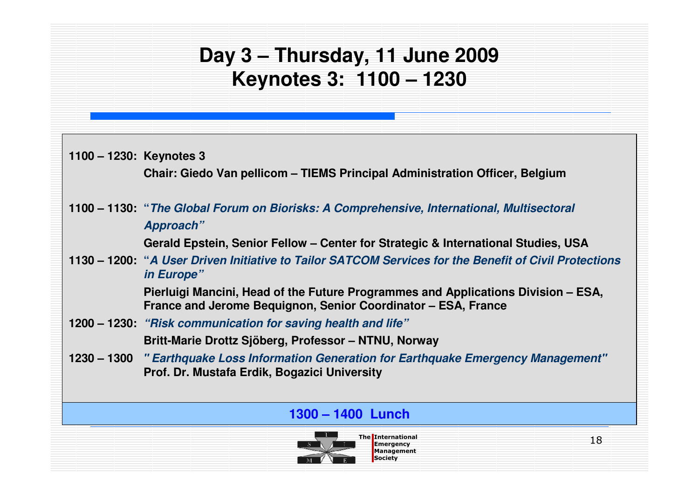# **Day 3 – Thursday, 11 June 2009Keynotes 3: 1100 – 1230**

| 1100 – 1230: Keynotes 3 | Chair: Giedo Van pellicom – TIEMS Principal Administration Officer, Belgium                                                                        |
|-------------------------|----------------------------------------------------------------------------------------------------------------------------------------------------|
|                         | 1100 – 1130: "The Global Forum on Biorisks: A Comprehensive, International, Multisectoral<br>Approach"                                             |
|                         | Gerald Epstein, Senior Fellow – Center for Strategic & International Studies, USA                                                                  |
|                         | 1130 – 1200: "A User Driven Initiative to Tailor SATCOM Services for the Benefit of Civil Protections<br>in Europe"                                |
|                         | Pierluigi Mancini, Head of the Future Programmes and Applications Division – ESA,<br>France and Jerome Bequignon, Senior Coordinator - ESA, France |
|                         | 1200 – 1230: "Risk communication for saving health and life"                                                                                       |
|                         | Britt-Marie Drottz Sjöberg, Professor – NTNU, Norway                                                                                               |
|                         | 1230 – 1300 " Earthquake Loss Information Generation for Earthquake Emergency Management"<br>Prof. Dr. Mustafa Erdik, Bogazici University          |
|                         |                                                                                                                                                    |
|                         | 1300 – 1400 Lunch                                                                                                                                  |

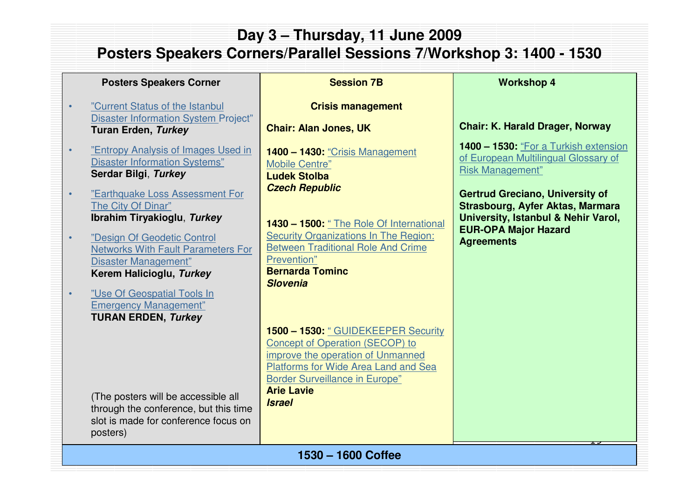### **Day 3 – Thursday, 11 June 2009Posters Speakers Corners/Parallel Sessions 7/Workshop 3: 1400 - 1530**

#### **Posters Speakers Corner**

•

•

•

•

•

- "Current Status of the Istanbul Disaster Information System Project"**Turan Erden, Turkey**
- "Entropy Analysis of Images Used in Disaster Information Systems"**Serdar Bilgi**, **Turkey**
- "Earthquake Loss Assessment For The City Of Dinar"**Ibrahim Tiryakioglu**, **Turkey**
- "Design Of Geodetic Control Networks With Fault Parameters For Disaster Management"**Kerem Halicioglu, Turkey**

 "Use Of Geospatial Tools In Emergency Management"**TURAN ERDEN, Turkey**

(The posters will be accessible all through the conference, but this time slot is made for conference focus on posters)

#### **Session 7B**

#### **Crisis management**

**Chair: Alan Jones, UK**

**1400 – 1430:** "Crisis Management Mobile Centre" **Ludek StolbaCzech Republic**

**1430 – 1500:** " The Role Of International Security Organizations In The Region: Between Traditional Role And Crime Prevention" **Bernarda TomincSlovenia**

**1500 – 1530:** " GUIDEKEEPER Security Concept of Operation (SECOP) to improve the operation of Unmanned Platforms for Wide Area Land and Sea Border Surveillance in Europe"

**Arie LavieIsrael**

#### **Workshop 4**

#### **Chair: K. Harald Drager, Norway**

**1400 – 1530:** "For a Turkish extension of European Multilingual Glossary of Risk Management"

**Gertrud Greciano, University of Strasbourg, Ayfer Aktas, Marmara University, Istanbul & Nehir Varol, EUR-OPA Major Hazard Agreements**

 $\overline{1}$ 

<u>The International Emergency and</u> ManagementSociety**1530 – 1600 Coffee**